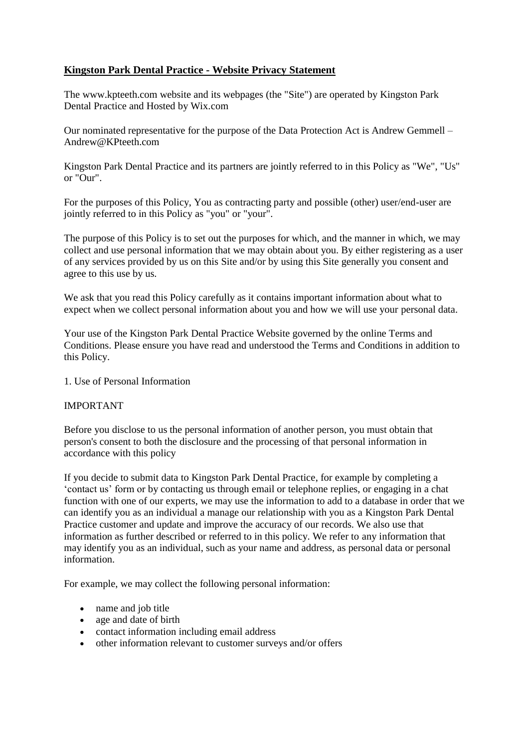# **Kingston Park Dental Practice - Website Privacy Statement**

The www.kpteeth.com website and its webpages (the "Site") are operated by Kingston Park Dental Practice and Hosted by Wix.com

Our nominated representative for the purpose of the Data Protection Act is Andrew Gemmell – Andrew@KPteeth.com

Kingston Park Dental Practice and its partners are jointly referred to in this Policy as "We", "Us" or "Our".

For the purposes of this Policy, You as contracting party and possible (other) user/end-user are jointly referred to in this Policy as "you" or "your".

The purpose of this Policy is to set out the purposes for which, and the manner in which, we may collect and use personal information that we may obtain about you. By either registering as a user of any services provided by us on this Site and/or by using this Site generally you consent and agree to this use by us.

We ask that you read this Policy carefully as it contains important information about what to expect when we collect personal information about you and how we will use your personal data.

Your use of the Kingston Park Dental Practice Website governed by the online Terms and Conditions. Please ensure you have read and understood the Terms and Conditions in addition to this Policy.

#### 1. Use of Personal Information

#### IMPORTANT

Before you disclose to us the personal information of another person, you must obtain that person's consent to both the disclosure and the processing of that personal information in accordance with this policy

If you decide to submit data to Kingston Park Dental Practice, for example by completing a 'contact us' form or by contacting us through email or telephone replies, or engaging in a chat function with one of our experts, we may use the information to add to a database in order that we can identify you as an individual a manage our relationship with you as a Kingston Park Dental Practice customer and update and improve the accuracy of our records. We also use that information as further described or referred to in this policy. We refer to any information that may identify you as an individual, such as your name and address, as personal data or personal information.

For example, we may collect the following personal information:

- name and job title
- age and date of birth
- contact information including email address
- other information relevant to customer surveys and/or offers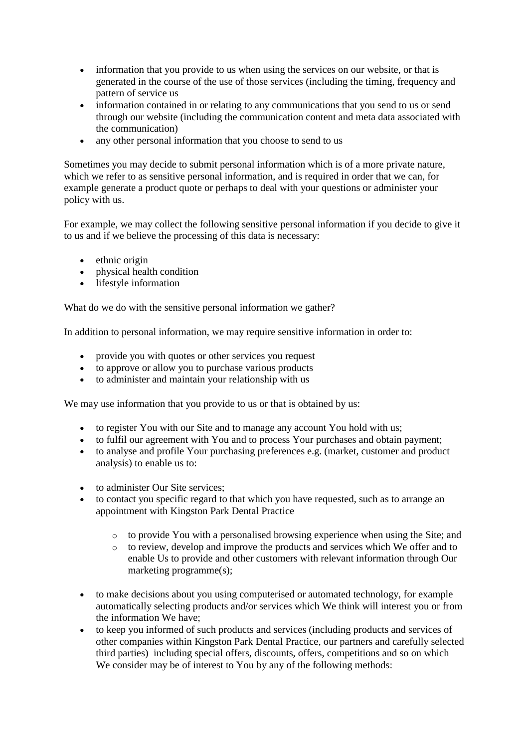- information that you provide to us when using the services on our website, or that is generated in the course of the use of those services (including the timing, frequency and pattern of service us
- information contained in or relating to any communications that you send to us or send through our website (including the communication content and meta data associated with the communication)
- any other personal information that you choose to send to us

Sometimes you may decide to submit personal information which is of a more private nature, which we refer to as sensitive personal information, and is required in order that we can, for example generate a product quote or perhaps to deal with your questions or administer your policy with us.

For example, we may collect the following sensitive personal information if you decide to give it to us and if we believe the processing of this data is necessary:

- ethnic origin
- physical health condition
- lifestyle information

What do we do with the sensitive personal information we gather?

In addition to personal information, we may require sensitive information in order to:

- provide you with quotes or other services you request
- to approve or allow you to purchase various products
- to administer and maintain your relationship with us

We may use information that you provide to us or that is obtained by us:

- to register You with our Site and to manage any account You hold with us;
- to fulfil our agreement with You and to process Your purchases and obtain payment;
- to analyse and profile Your purchasing preferences e.g. (market, customer and product analysis) to enable us to:
- to administer Our Site services;
- to contact you specific regard to that which you have requested, such as to arrange an appointment with Kingston Park Dental Practice
	- o to provide You with a personalised browsing experience when using the Site; and
	- o to review, develop and improve the products and services which We offer and to enable Us to provide and other customers with relevant information through Our marketing programme(s);
- to make decisions about you using computerised or automated technology, for example automatically selecting products and/or services which We think will interest you or from the information We have;
- to keep you informed of such products and services (including products and services of other companies within Kingston Park Dental Practice, our partners and carefully selected third parties) including special offers, discounts, offers, competitions and so on which We consider may be of interest to You by any of the following methods: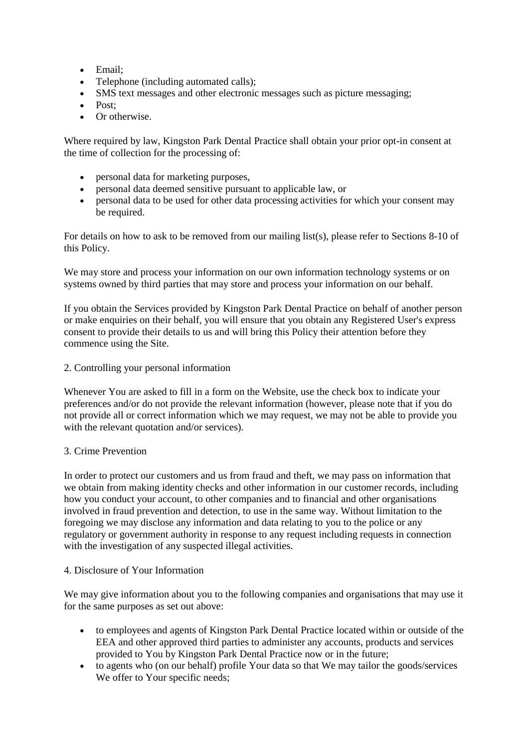- Email;
- Telephone (including automated calls);
- SMS text messages and other electronic messages such as picture messaging;
- $\bullet$  Post:
- Or otherwise.

Where required by law, Kingston Park Dental Practice shall obtain your prior opt-in consent at the time of collection for the processing of:

- personal data for marketing purposes,
- personal data deemed sensitive pursuant to applicable law, or
- personal data to be used for other data processing activities for which your consent may be required.

For details on how to ask to be removed from our mailing list(s), please refer to Sections 8-10 of this Policy.

We may store and process your information on our own information technology systems or on systems owned by third parties that may store and process your information on our behalf.

If you obtain the Services provided by Kingston Park Dental Practice on behalf of another person or make enquiries on their behalf, you will ensure that you obtain any Registered User's express consent to provide their details to us and will bring this Policy their attention before they commence using the Site.

#### 2. Controlling your personal information

Whenever You are asked to fill in a form on the Website, use the check box to indicate your preferences and/or do not provide the relevant information (however, please note that if you do not provide all or correct information which we may request, we may not be able to provide you with the relevant quotation and/or services).

#### 3. Crime Prevention

In order to protect our customers and us from fraud and theft, we may pass on information that we obtain from making identity checks and other information in our customer records, including how you conduct your account, to other companies and to financial and other organisations involved in fraud prevention and detection, to use in the same way. Without limitation to the foregoing we may disclose any information and data relating to you to the police or any regulatory or government authority in response to any request including requests in connection with the investigation of any suspected illegal activities.

#### 4. Disclosure of Your Information

We may give information about you to the following companies and organisations that may use it for the same purposes as set out above:

- to employees and agents of Kingston Park Dental Practice located within or outside of the EEA and other approved third parties to administer any accounts, products and services provided to You by Kingston Park Dental Practice now or in the future;
- to agents who (on our behalf) profile Your data so that We may tailor the goods/services We offer to Your specific needs;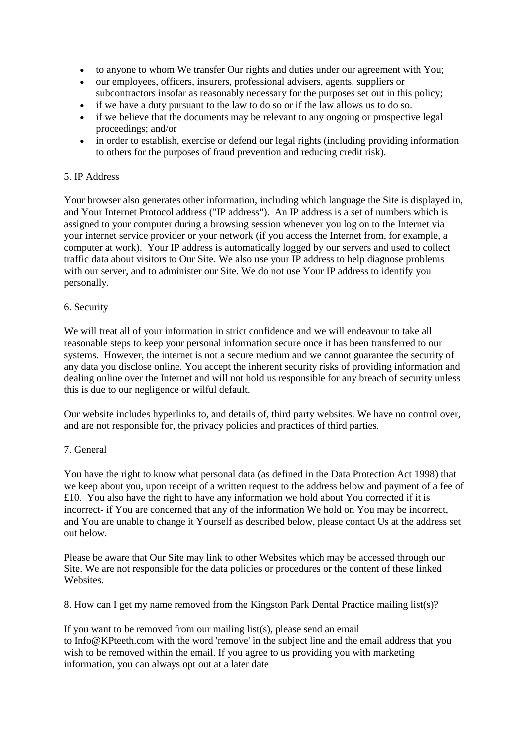- to anyone to whom We transfer Our rights and duties under our agreement with You;
- our employees, officers, insurers, professional advisers, agents, suppliers or subcontractors insofar as reasonably necessary for the purposes set out in this policy;
- if we have a duty pursuant to the law to do so or if the law allows us to do so.
- if we believe that the documents may be relevant to any ongoing or prospective legal proceedings; and/or
- in order to establish, exercise or defend our legal rights (including providing information to others for the purposes of fraud prevention and reducing credit risk).

#### 5. IP Address

Your browser also generates other information, including which language the Site is displayed in, and Your Internet Protocol address ("IP address"). An IP address is a set of numbers which is assigned to your computer during a browsing session whenever you log on to the Internet via your internet service provider or your network (if you access the Internet from, for example, a computer at work). Your IP address is automatically logged by our servers and used to collect traffic data about visitors to Our Site. We also use your IP address to help diagnose problems with our server, and to administer our Site. We do not use Your IP address to identify you personally.

#### 6. Security

We will treat all of your information in strict confidence and we will endeavour to take all reasonable steps to keep your personal information secure once it has been transferred to our systems. However, the internet is not a secure medium and we cannot guarantee the security of any data you disclose online. You accept the inherent security risks of providing information and dealing online over the Internet and will not hold us responsible for any breach of security unless this is due to our negligence or wilful default.

Our website includes hyperlinks to, and details of, third party websites. We have no control over, and are not responsible for, the privacy policies and practices of third parties.

#### 7. General

You have the right to know what personal data (as defined in the Data Protection Act 1998) that we keep about you, upon receipt of a written request to the address below and payment of a fee of £10. You also have the right to have any information we hold about You corrected if it is incorrect- if You are concerned that any of the information We hold on You may be incorrect, and You are unable to change it Yourself as described below, please contact Us at the address set out below.

Please be aware that Our Site may link to other Websites which may be accessed through our Site. We are not responsible for the data policies or procedures or the content of these linked Websites.

8. How can I get my name removed from the Kingston Park Dental Practice mailing list(s)?

If you want to be removed from our mailing list(s), please send an email to Info@KPteeth.com with the word 'remove' in the subject line and the email address that you wish to be removed within the email. If you agree to us providing you with marketing information, you can always opt out at a later date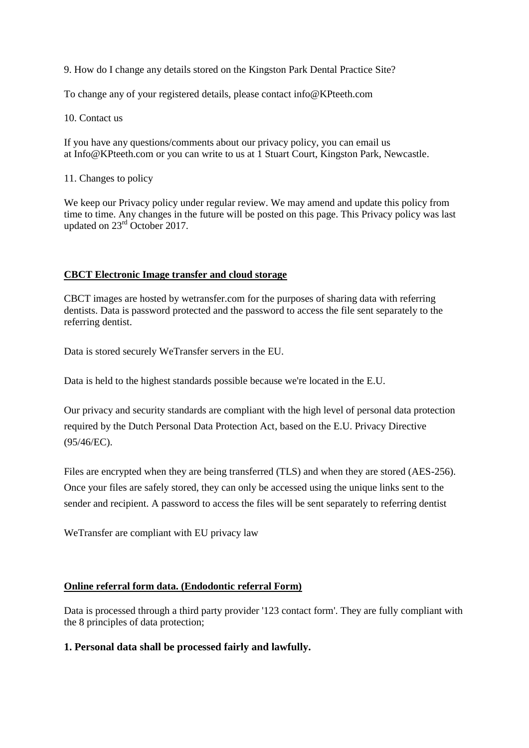9. How do I change any details stored on the Kingston Park Dental Practice Site?

To change any of your registered details, please contact info@KPteeth.com

10. Contact us

If you have any questions/comments about our privacy policy, you can email us at Info@KPteeth.com or you can write to us at 1 Stuart Court, Kingston Park, Newcastle.

11. Changes to policy

We keep our Privacy policy under regular review. We may amend and update this policy from time to time. Any changes in the future will be posted on this page. This Privacy policy was last updated on 23rd October 2017.

#### **CBCT Electronic Image transfer and cloud storage**

CBCT images are hosted by wetransfer.com for the purposes of sharing data with referring dentists. Data is password protected and the password to access the file sent separately to the referring dentist.

Data is stored securely WeTransfer servers in the EU.

Data is held to the highest standards possible because we're located in the E.U.

Our privacy and security standards are compliant with the high level of personal data protection required by the Dutch Personal Data Protection Act, based on the E.U. Privacy Directive (95/46/EC).

Files are encrypted when they are being transferred (TLS) and when they are stored (AES-256). Once your files are safely stored, they can only be accessed using the unique links sent to the sender and recipient. A password to access the files will be sent separately to referring dentist

WeTransfer are compliant with EU privacy law

#### **Online referral form data. (Endodontic referral Form)**

Data is processed through a third party provider '123 contact form'. They are fully compliant with the 8 principles of data protection;

### **1. Personal data shall be processed fairly and lawfully.**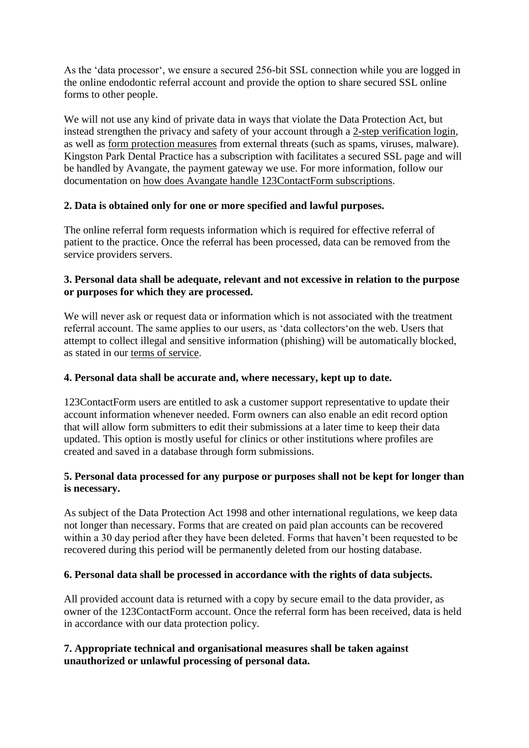As the 'data processor', we ensure a secured 256-bit SSL connection while you are logged in the online endodontic referral account and provide the option to share secured SSL online forms to other people.

We will not use any kind of private data in ways that violate the Data Protection Act, but instead strengthen the privacy and safety of your account through a 2-step verification login, as well as form protection measures from external threats (such as spams, viruses, malware). Kingston Park Dental Practice has a subscription with facilitates a secured SSL page and will be handled by Avangate, the payment gateway we use. For more information, follow our documentation on how does Avangate handle 123ContactForm subscriptions.

# **2. Data is obtained only for one or more specified and lawful purposes.**

The online referral form requests information which is required for effective referral of patient to the practice. Once the referral has been processed, data can be removed from the service providers servers.

## **3. Personal data shall be adequate, relevant and not excessive in relation to the purpose or purposes for which they are processed.**

We will never ask or request data or information which is not associated with the treatment referral account. The same applies to our users, as 'data collectors'on the web. Users that attempt to collect illegal and sensitive information (phishing) will be automatically blocked, as stated in our terms of service.

# **4. Personal data shall be accurate and, where necessary, kept up to date.**

123ContactForm users are entitled to ask a customer support representative to update their account information whenever needed. Form owners can also enable an edit record option that will allow form submitters to edit their submissions at a later time to keep their data updated. This option is mostly useful for clinics or other institutions where profiles are created and saved in a database through form submissions.

## **5. Personal data processed for any purpose or purposes shall not be kept for longer than is necessary.**

As subject of the Data Protection Act 1998 and other international regulations, we keep data not longer than necessary. Forms that are created on paid plan accounts can be recovered within a 30 day period after they have been deleted. Forms that haven't been requested to be recovered during this period will be permanently deleted from our hosting database.

## **6. Personal data shall be processed in accordance with the rights of data subjects.**

All provided account data is returned with a copy by secure email to the data provider, as owner of the 123ContactForm account. Once the referral form has been received, data is held in accordance with our data protection policy.

## **7. Appropriate technical and organisational measures shall be taken against unauthorized or unlawful processing of personal data.**